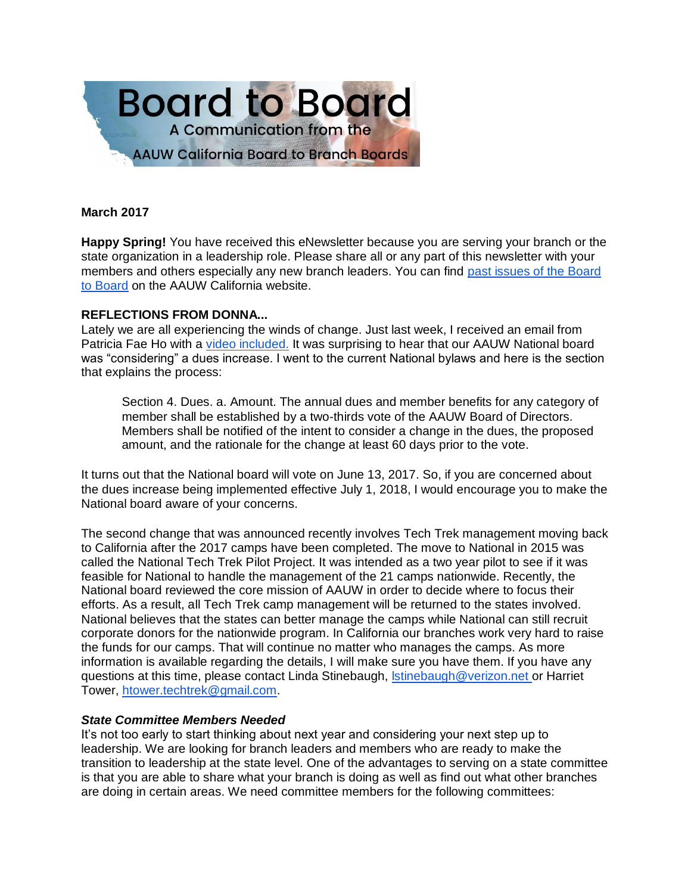

#### **March 2017**

**Happy Spring!** You have received this eNewsletter because you are serving your branch or the state organization in a leadership role. Please share all or any part of this newsletter with your members and others especially any new branch leaders. You can find [past issues of the Board](http://www.aauw-ca.org/board-to-board/)  [to Board](http://www.aauw-ca.org/board-to-board/) on the AAUW California website.

## **REFLECTIONS FROM DONNA...**

Lately we are all experiencing the winds of change. Just last week, I received an email from Patricia Fae Ho with a [video included.](http://www.aauw.org/resource/membership-dues-update/) It was surprising to hear that our AAUW National board was "considering" a dues increase. I went to the current National bylaws and here is the section that explains the process:

Section 4. Dues. a. Amount. The annual dues and member benefits for any category of member shall be established by a two-thirds vote of the AAUW Board of Directors. Members shall be notified of the intent to consider a change in the dues, the proposed amount, and the rationale for the change at least 60 days prior to the vote.

It turns out that the National board will vote on June 13, 2017. So, if you are concerned about the dues increase being implemented effective July 1, 2018, I would encourage you to make the National board aware of your concerns.

The second change that was announced recently involves Tech Trek management moving back to California after the 2017 camps have been completed. The move to National in 2015 was called the National Tech Trek Pilot Project. It was intended as a two year pilot to see if it was feasible for National to handle the management of the 21 camps nationwide. Recently, the National board reviewed the core mission of AAUW in order to decide where to focus their efforts. As a result, all Tech Trek camp management will be returned to the states involved. National believes that the states can better manage the camps while National can still recruit corporate donors for the nationwide program. In California our branches work very hard to raise the funds for our camps. That will continue no matter who manages the camps. As more information is available regarding the details, I will make sure you have them. If you have any questions at this time, please contact Linda Stinebaugh, [lstinebaugh@verizon.net o](mailto:lstinebaugh@verizon.net)r Harriet Tower, [htower.techtrek@gmail.com.](mailto:htower.techtrek@gmail.com)

## *State Committee Members Needed*

It's not too early to start thinking about next year and considering your next step up to leadership. We are looking for branch leaders and members who are ready to make the transition to leadership at the state level. One of the advantages to serving on a state committee is that you are able to share what your branch is doing as well as find out what other branches are doing in certain areas. We need committee members for the following committees: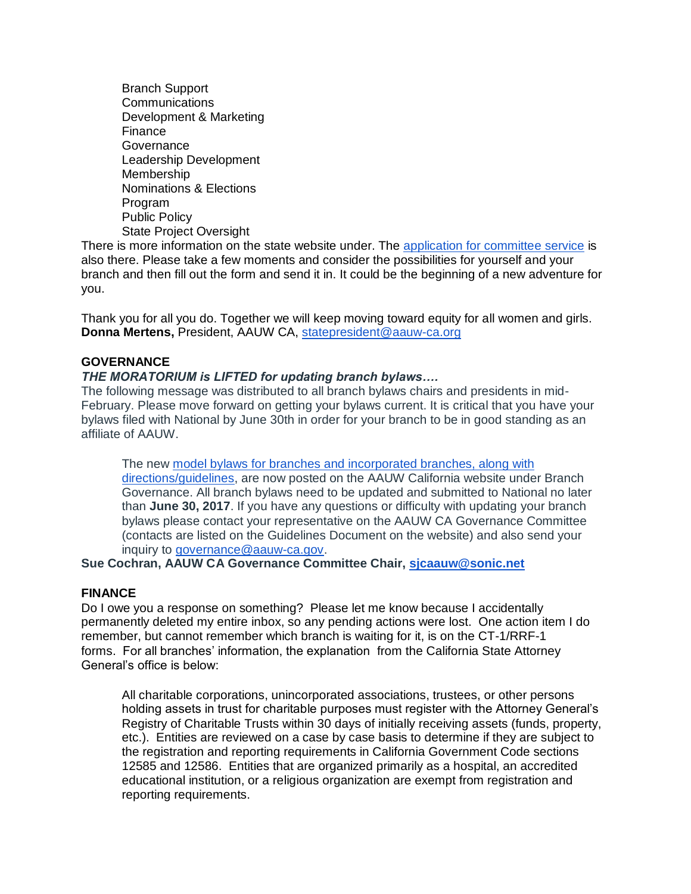Branch Support Communications Development & Marketing Finance Governance Leadership Development Membership Nominations & Elections Program Public Policy State Project Oversight

There is more information on the state website under. The [application for committee service](http://www.aauw-ca.org/join-the-board/) is also there. Please take a few moments and consider the possibilities for yourself and your branch and then fill out the form and send it in. It could be the beginning of a new adventure for you.

Thank you for all you do. Together we will keep moving toward equity for all women and girls. **Donna Mertens,** President, AAUW CA, [statepresident@aauw-ca.org](mailto:statepresident@aauw-ca.org)

## **GOVERNANCE**

## *THE MORATORIUM is LIFTED for updating branch bylaws….*

The following message was distributed to all branch bylaws chairs and presidents in mid-February. Please move forward on getting your bylaws current. It is critical that you have your bylaws filed with National by June 30th in order for your branch to be in good standing as an affiliate of AAUW.

The new [model bylaws for branches and incorporated branches, along with](http://www.aauw-ca.org/branch-governance/)  [directions/guidelines,](http://www.aauw-ca.org/branch-governance/) are now posted on the AAUW California website under Branch Governance. All branch bylaws need to be updated and submitted to National no later than **June 30, 2017**. If you have any questions or difficulty with updating your branch bylaws please contact your representative on the AAUW CA Governance Committee (contacts are listed on the Guidelines Document on the website) and also send your inquiry to [governance@aauw-ca.gov.](mailto:governance@aauw-ca.gov)

**Sue Cochran, AAUW CA Governance Committee Chair, [sjcaauw@sonic.net](mailto:sjcaauw@sonic.net)**

#### **FINANCE**

Do I owe you a response on something? Please let me know because I accidentally permanently deleted my entire inbox, so any pending actions were lost. One action item I do remember, but cannot remember which branch is waiting for it, is on the CT-1/RRF-1 forms. For all branches' information, the explanation from the California State Attorney General's office is below:

All charitable corporations, unincorporated associations, trustees, or other persons holding assets in trust for charitable purposes must register with the Attorney General's Registry of Charitable Trusts within 30 days of initially receiving assets (funds, property, etc.). Entities are reviewed on a case by case basis to determine if they are subject to the registration and reporting requirements in California Government Code sections 12585 and 12586. Entities that are organized primarily as a hospital, an accredited educational institution, or a religious organization are exempt from registration and reporting requirements.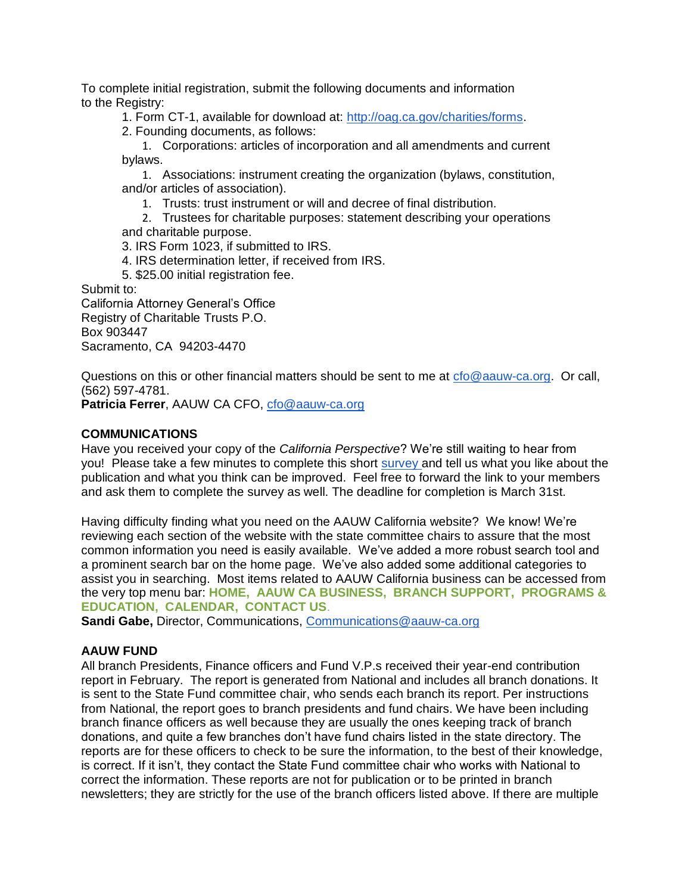To complete initial registration, submit the following documents and information to the Registry:

1. Form CT-1, available for download at: [http://oag.ca.gov/charities/forms.](http://oag.ca.gov/charities/forms)

2. Founding documents, as follows:

1. Corporations: articles of incorporation and all amendments and current bylaws.

1. Associations: instrument creating the organization (bylaws, constitution, and/or articles of association).

1. Trusts: trust instrument or will and decree of final distribution.

2. Trustees for charitable purposes: statement describing your operations and charitable purpose.

3. IRS Form 1023, if submitted to IRS.

- 4. IRS determination letter, if received from IRS.
- 5. \$25.00 initial registration fee.

Submit to:

California Attorney General's Office Registry of Charitable Trusts P.O. Box 903447 Sacramento, CA 94203-4470

Questions on this or other financial matters should be sent to me at [cfo@aauw-ca.org.](mailto:cfo@aauw-ca.org) Or call, (562) 597-4781.

**Patricia Ferrer**, AAUW CA CFO, [cfo@aauw-ca.org](mailto:cfo@aauw-ca.org)

## **COMMUNICATIONS**

Have you received your copy of the *California Perspective*? We're still waiting to hear from you! Please take a few minutes to complete this short [survey a](https://www.surveymonkey.com/r/2NWR3HX)nd tell us what you like about the publication and what you think can be improved. Feel free to forward the link to your members and ask them to complete the survey as well. The deadline for completion is March 31st.

Having difficulty finding what you need on the AAUW California website? We know! We're reviewing each section of the website with the state committee chairs to assure that the most common information you need is easily available. We've added a more robust search tool and a prominent search bar on the home page. We've also added some additional categories to assist you in searching. Most items related to AAUW California business can be accessed from the very top menu bar: **HOME, AAUW CA BUSINESS, BRANCH SUPPORT, PROGRAMS & EDUCATION, CALENDAR, CONTACT US**.

**Sandi Gabe,** Director, Communications, [Communications@aauw-ca.org](mailto:Communications@aauw-ca.org)

## **AAUW FUND**

All branch Presidents, Finance officers and Fund V.P.s received their year-end contribution report in February. The report is generated from National and includes all branch donations. It is sent to the State Fund committee chair, who sends each branch its report. Per instructions from National, the report goes to branch presidents and fund chairs. We have been including branch finance officers as well because they are usually the ones keeping track of branch donations, and quite a few branches don't have fund chairs listed in the state directory. The reports are for these officers to check to be sure the information, to the best of their knowledge, is correct. If it isn't, they contact the State Fund committee chair who works with National to correct the information. These reports are not for publication or to be printed in branch newsletters; they are strictly for the use of the branch officers listed above. If there are multiple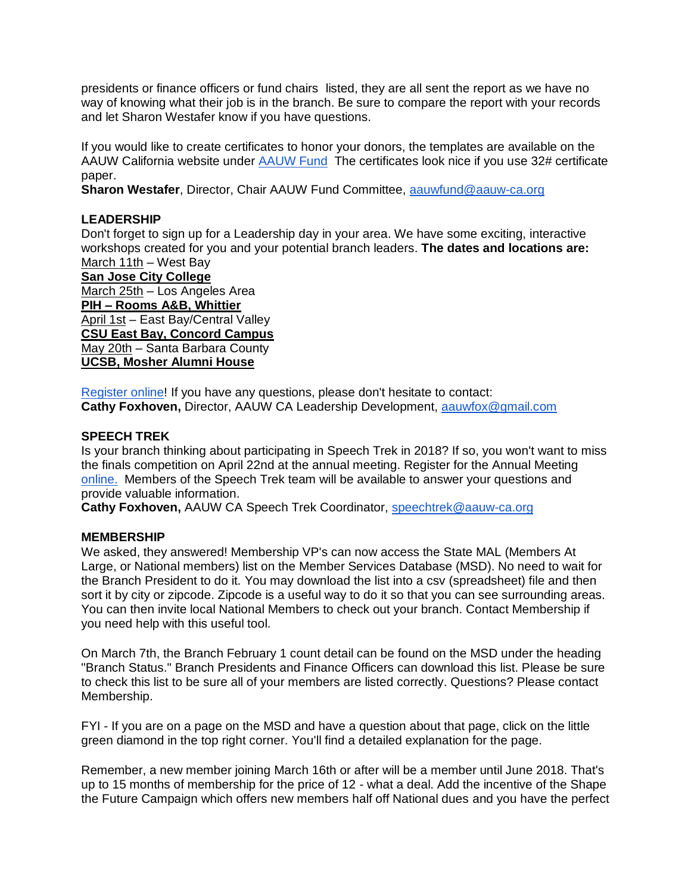presidents or finance officers or fund chairs listed, they are all sent the report as we have no way of knowing what their job is in the branch. Be sure to compare the report with your records and let Sharon Westafer know if you have questions.

If you would like to create certificates to honor your donors, the templates are available on the AAUW California website under [AAUW Fund](http://www.aauw-ca.org/certificate-templates/) The certificates look nice if you use 32# certificate paper.

**Sharon Westafer**, Director, Chair AAUW Fund Committee, [aauwfund@aauw-ca.org](mailto:aauwfund@aauw-ca.org)

## **LEADERSHIP**

Don't forget to sign up for a Leadership day in your area. We have some exciting, interactive workshops created for you and your potential branch leaders. **The dates and locations are:** March 11th – West Bay

## **[San Jose City College](https://goo.gl/maps/ZVp4SH5ZDbN2)**

March 25th – Los Angeles Area **PIH – [Rooms A&B, Whittier](https://goo.gl/maps/hhXUtbJAfDD2)** April 1st – East Bay/Central Valley **[CSU East Bay, Concord Campus](https://goo.gl/maps/h7SizA3dxCL2)** May 20th – Santa Barbara County **[UCSB, Mosher Alumni House](https://goo.gl/maps/u9ULc8GAMpq)**

[Register online!](https://www.eventbrite.com/e/aauw-california-leadership-days-2017-tickets-31651953846) If you have any questions, please don't hesitate to contact: **Cathy Foxhoven,** Director, AAUW CA Leadership Development, [aauwfox@gmail.com](mailto:aauwfox@gmail.com)

#### **SPEECH TREK**

Is your branch thinking about participating in Speech Trek in 2018? If so, you won't want to miss the finals competition on April 22nd at the annual meeting. Register for the Annual Meeting [online.](http://www.aauw-ca.org/2017-annual-meeting/) Members of the Speech Trek team will be available to answer your questions and provide valuable information.

**Cathy Foxhoven,** AAUW CA Speech Trek Coordinator, [speechtrek@aauw-ca.org](mailto:speechtrek@aauw-ca.org)

#### **MEMBERSHIP**

We asked, they answered! Membership VP's can now access the State MAL (Members At Large, or National members) list on the Member Services Database (MSD). No need to wait for the Branch President to do it. You may download the list into a csv (spreadsheet) file and then sort it by city or zipcode. Zipcode is a useful way to do it so that you can see surrounding areas. You can then invite local National Members to check out your branch. Contact Membership if you need help with this useful tool.

On March 7th, the Branch February 1 count detail can be found on the MSD under the heading "Branch Status." Branch Presidents and Finance Officers can download this list. Please be sure to check this list to be sure all of your members are listed correctly. Questions? Please contact Membership.

FYI - If you are on a page on the MSD and have a question about that page, click on the little green diamond in the top right corner. You'll find a detailed explanation for the page.

Remember, a new member joining March 16th or after will be a member until June 2018. That's up to 15 months of membership for the price of 12 - what a deal. Add the incentive of the Shape the Future Campaign which offers new members half off National dues and you have the perfect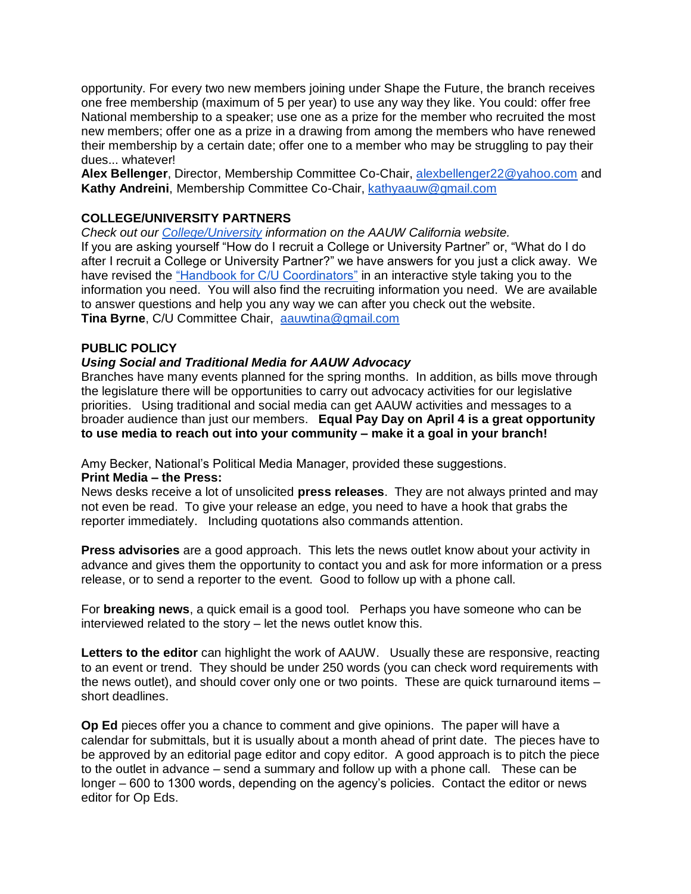opportunity. For every two new members joining under Shape the Future, the branch receives one free membership (maximum of 5 per year) to use any way they like. You could: offer free National membership to a speaker; use one as a prize for the member who recruited the most new members; offer one as a prize in a drawing from among the members who have renewed their membership by a certain date; offer one to a member who may be struggling to pay their dues... whatever!

**Alex Bellenger**, Director, Membership Committee Co-Chair, [alexbellenger22@yahoo.com](mailto:alexbellenger22@yahoo.com) and **Kathy Andreini**, Membership Committee Co-Chair, [kathyaauw@gmail.com](mailto:kathyaauw@gmail.com)

# **COLLEGE/UNIVERSITY PARTNERS**

*Check out our [College/University](http://www.aauw-ca.org/college-university-partners/) information on the AAUW California website.* If you are asking yourself "How do I recruit a College or University Partner" or, "What do I do after I recruit a College or University Partner?" we have answers for you just a click away. We have revised the ["Handbook for C/U Coordinators"](http://www.aauw-ca.org/documents/2017/01/cu-partner-box.docx) in an interactive style taking you to the information you need. You will also find the recruiting information you need. We are available to answer questions and help you any way we can after you check out the website. **Tina Byrne**, C/U Committee Chair, [aauwtina@gmail.com](mailto:aauwtina@gmail.com)

## **PUBLIC POLICY**

## *Using Social and Traditional Media for AAUW Advocacy*

Branches have many events planned for the spring months. In addition, as bills move through the legislature there will be opportunities to carry out advocacy activities for our legislative priorities. Using traditional and social media can get AAUW activities and messages to a broader audience than just our members. **Equal Pay Day on April 4 is a great opportunity to use media to reach out into your community – make it a goal in your branch!**

Amy Becker, National's Political Media Manager, provided these suggestions.

## **Print Media – the Press:**

News desks receive a lot of unsolicited **press releases**. They are not always printed and may not even be read. To give your release an edge, you need to have a hook that grabs the reporter immediately. Including quotations also commands attention.

**Press advisories** are a good approach. This lets the news outlet know about your activity in advance and gives them the opportunity to contact you and ask for more information or a press release, or to send a reporter to the event. Good to follow up with a phone call.

For **breaking news**, a quick email is a good tool. Perhaps you have someone who can be interviewed related to the story – let the news outlet know this.

**Letters to the editor** can highlight the work of AAUW. Usually these are responsive, reacting to an event or trend. They should be under 250 words (you can check word requirements with the news outlet), and should cover only one or two points. These are quick turnaround items – short deadlines.

**Op Ed** pieces offer you a chance to comment and give opinions. The paper will have a calendar for submittals, but it is usually about a month ahead of print date. The pieces have to be approved by an editorial page editor and copy editor. A good approach is to pitch the piece to the outlet in advance – send a summary and follow up with a phone call. These can be longer – 600 to 1300 words, depending on the agency's policies. Contact the editor or news editor for Op Eds.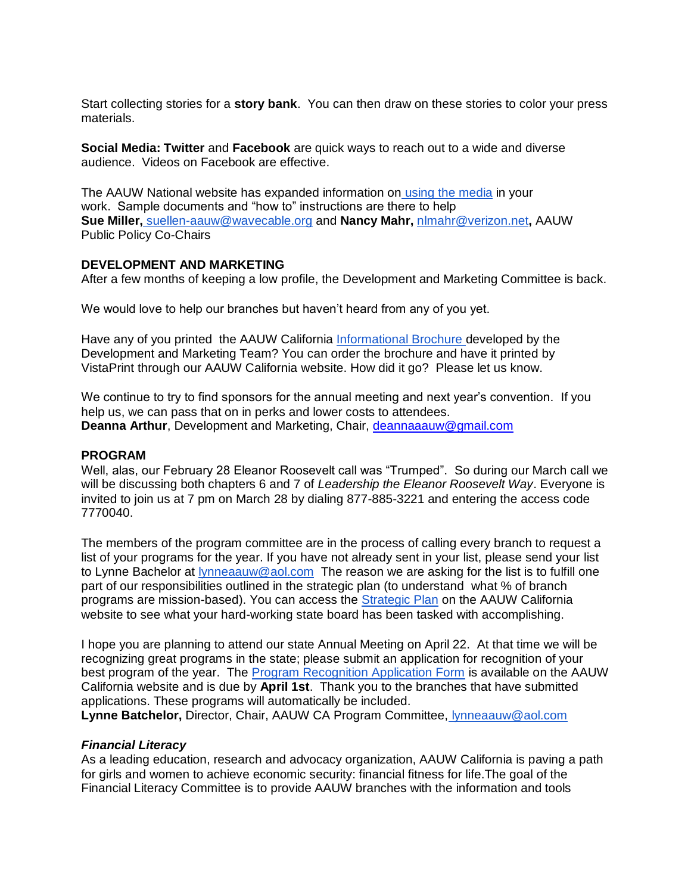Start collecting stories for a **story bank**. You can then draw on these stories to color your press materials.

**Social Media: Twitter** and **Facebook** are quick ways to reach out to a wide and diverse audience. Videos on Facebook are effective.

The AAUW National website has expanded information on [using the media](http://www.aauw.org/resource/how-to-work-with-the-media/) in your work. Sample documents and "how to" instructions are there to help **Sue Miller,** [suellen-aauw@wavecable.org](mailto:suellen-aauw@wavecable.org) and **Nancy Mahr,** [nlmahr@verizon.net](mailto:nlmahr@verizon.net)**,** AAUW Public Policy Co-Chairs

#### **DEVELOPMENT AND MARKETING**

After a few months of keeping a low profile, the Development and Marketing Committee is back.

We would love to help our branches but haven't heard from any of you yet.

Have any of you printed the AAUW California [Informational Brochure d](http://www.aauw-ca.org/state-brochures/)eveloped by the Development and Marketing Team? You can order the brochure and have it printed by VistaPrint through our AAUW California website. How did it go? Please let us know.

We continue to try to find sponsors for the annual meeting and next year's convention. If you help us, we can pass that on in perks and lower costs to attendees. **Deanna Arthur**, Development and Marketing, Chair, deannaaauw@gmail.com

#### **PROGRAM**

Well, alas, our February 28 Eleanor Roosevelt call was "Trumped". So during our March call we will be discussing both chapters 6 and 7 of *Leadership the Eleanor Roosevelt Way*. Everyone is invited to join us at 7 pm on March 28 by dialing 877-885-3221 and entering the access code 7770040.

The members of the program committee are in the process of calling every branch to request a list of your programs for the year. If you have not already sent in your list, please send your list to Lynne Bachelor at [lynneaauw@aol.com](mailto:lynneaauw@aol.com) The reason we are asking for the list is to fulfill one part of our responsibilities outlined in the strategic plan (to understand what % of branch programs are mission-based). You can access the [Strategic Plan](http://www.aauw-ca.org/documents/2016/10/strategic-plan-2014-2016.pdf) on the AAUW California website to see what your hard-working state board has been tasked with accomplishing.

I hope you are planning to attend our state Annual Meeting on April 22. At that time we will be recognizing great programs in the state; please submit an application for recognition of your best program of the year. The [Program Recognition Application Form](http://wp.aauw-ca.org/program-recognition-application/) is available on the AAUW California website and is due by **April 1st**. Thank you to the branches that have submitted applications. These programs will automatically be included.

**Lynne Batchelor,** Director, Chair, AAUW CA Program Committee, [lynneaauw@aol.com](mailto:lynneaauw@aol.com)

#### *Financial Literacy*

As a leading education, research and advocacy organization, AAUW California is paving a path for girls and women to achieve economic security: financial fitness for life.The goal of the Financial Literacy Committee is to provide AAUW branches with the information and tools